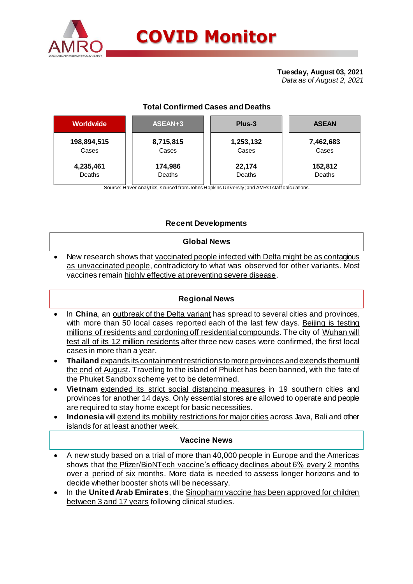

# **Total Confirmed Cases and Deaths**

| <b>Worldwide</b> | ASEAN+3   | Plus-3    | <b>ASEAN</b> |  |  |
|------------------|-----------|-----------|--------------|--|--|
| 198,894,515      | 8,715,815 | 1,253,132 | 7,462,683    |  |  |
| Cases            | Cases     | Cases     | Cases        |  |  |
| 4,235,461        | 174,986   | 22,174    | 152,812      |  |  |
| Deaths           | Deaths    | Deaths    | Deaths       |  |  |

Source: Haver Analytics, sourced from Johns Hopkins University; and AMRO staff calculations.

# **Recent Developments**

### **Global News**

 New research shows that vaccinated people infected with Delta might be as contagious as unvaccinated people, contradictory to what was observed for other variants. Most vaccines remain highly effective at preventing severe disease.

# **Regional News**

- In **China**, an **outbreak of the Delta variant** has spread to several cities and provinces, with more than 50 local cases reported each of the last few days. Beijing is testing millions of residents and cordoning off residential compounds. The city of Wuhan will test all of its 12 million residents after three new cases were confirmed, the first local cases in more than a year.
- **Thailand** expands its containment restrictions to more provinces and extends them until the end of August. Traveling to the island of Phuket has been banned, with the fate of the Phuket Sandbox scheme yet to be determined.
- **Vietnam** extended its strict social distancing measures in 19 southern cities and provinces for another 14 days. Only essential stores are allowed to operate and people are required to stay home except for basic necessities.
- **Indonesia** will extend its mobility restrictions for major cities across Java, Bali and other islands for at least another week.

# **Vaccine News**

- A new study based on a trial of more than 40,000 people in Europe and the Americas shows that the Pfizer/BioNTech vaccine's efficacy declines about 6% every 2 months over a period of six months. More data is needed to assess longer horizons and to decide whether booster shots will be necessary.
- In the **United Arab Emirates**, the Sinopharm vaccine has been approved for children between 3 and 17 years following clinical studies.